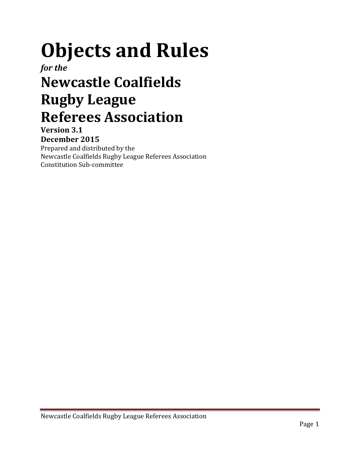# Objects and Rules

for the

# Newcastle Coalfields Rugby League Referees Association

Version 3.1 December 2015

Prepared and distributed by the

Newcastle Coalfields Rugby League Referees Association Constitution Sub-committee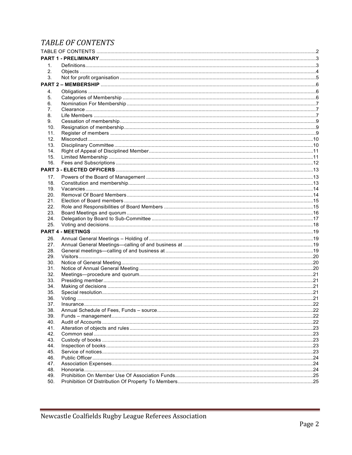# TABLE OF CONTENTS

| 1.         |  |  |
|------------|--|--|
| 2.         |  |  |
| 3.         |  |  |
|            |  |  |
| 4.         |  |  |
| 5.         |  |  |
| 6.         |  |  |
| 7.         |  |  |
| 8.         |  |  |
| 9.         |  |  |
| 10.        |  |  |
| 11.        |  |  |
| 12.        |  |  |
| 13.        |  |  |
| 14.        |  |  |
| 15.        |  |  |
| 16.        |  |  |
|            |  |  |
| 17.        |  |  |
| 18.        |  |  |
| 19.        |  |  |
| 20.        |  |  |
| 21.        |  |  |
| 22.        |  |  |
| 23.        |  |  |
| 24.        |  |  |
| 25.        |  |  |
|            |  |  |
| 26.        |  |  |
| 27.<br>28. |  |  |
| 29.        |  |  |
| 30.        |  |  |
| 31.        |  |  |
| 32.        |  |  |
| 33.        |  |  |
| 34.        |  |  |
| 35.        |  |  |
| 36.        |  |  |
| 37.        |  |  |
| 38.        |  |  |
| 39.        |  |  |
| 40.        |  |  |
| 41.        |  |  |
| 42.        |  |  |
| 43.        |  |  |
| 44.        |  |  |
| 45.        |  |  |
| 46.<br>47. |  |  |
| 48.        |  |  |
| 49.        |  |  |
| 50.        |  |  |
|            |  |  |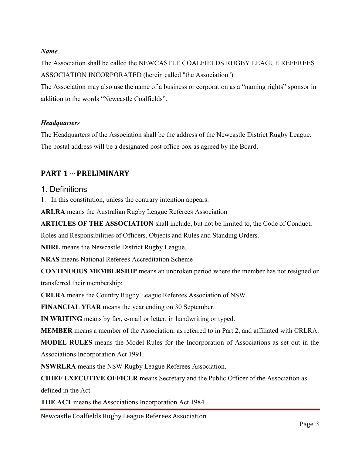#### Name

The Association shall be called the NEWCASTLE COALFIELDS RUGBY LEAGUE REFEREES ASSOCIATION INCORPORATED (herein called "the Association").

The Association may also use the name of a business or corporation as a "naming rights" sponsor in addition to the words "Newcastle Coalfields".

#### **Headquarters**

The Headquarters of the Association shall be the address of the Newcastle District Rugby League. The postal address will be a designated post office box as agreed by the Board.

# PART 1 --- PRELIMINARY

#### 1. Definitions

1. In this constitution, unless the contrary intention appears:

ARLRA means the Australian Rugby League Referees Association

ARTICLES OF THE ASSOCIATION shall include, but not be limited to, the Code of Conduct,

Roles and Responsibilities of Officers, Objects and Rules and Standing Orders.

NDRL means the Newcastle District Rugby League.

NRAS means National Referees Accreditation Scheme

CONTINUOUS MEMBERSHIP means an unbroken period where the member has not resigned or transferred their membership;

CRLRA means the Country Rugby League Referees Association of NSW.

FINANCIAL YEAR means the year ending on 30 September.

IN WRITING means by fax, e-mail or letter, in handwriting or typed.

MEMBER means a member of the Association, as referred to in Part 2, and affiliated with CRLRA.

MODEL RULES means the Model Rules for the Incorporation of Associations as set out in the Associations Incorporation Act 1991.

NSWRLRA means the NSW Rugby League Referees Association.

CHIEF EXECUTIVE OFFICER means Secretary and the Public Officer of the Association as

defined in the Act.

THE ACT means the Associations Incorporation Act 1984.

Newcastle Coalfields Rugby League Referees Association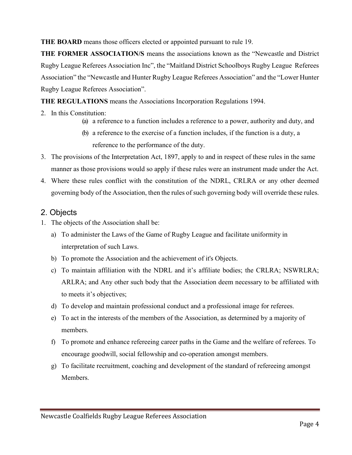THE BOARD means those officers elected or appointed pursuant to rule 19.

THE FORMER ASSOCIATION/S means the associations known as the "Newcastle and District Rugby League Referees Association Inc", the "Maitland District Schoolboys Rugby League Referees Association" the "Newcastle and Hunter Rugby League Referees Association" and the "Lower Hunter Rugby League Referees Association".

THE REGULATIONS means the Associations Incorporation Regulations 1994.

- 2. In this Constitution:
	- (a) a reference to a function includes a reference to a power, authority and duty, and
	- (b) a reference to the exercise of a function includes, if the function is a duty, a reference to the performance of the duty.
- 3. The provisions of the Interpretation Act, 1897, apply to and in respect of these rules in the same manner as those provisions would so apply if these rules were an instrument made under the Act.
- 4. Where these rules conflict with the constitution of the NDRL, CRLRA or any other deemed governing body of the Association, then the rules of such governing body will override these rules.

# 2. Objects

- 1. The objects of the Association shall be:
	- a) To administer the Laws of the Game of Rugby League and facilitate uniformity in interpretation of such Laws.
	- b) To promote the Association and the achievement of it's Objects.
	- c) To maintain affiliation with the NDRL and it's affiliate bodies; the CRLRA; NSWRLRA; ARLRA; and Any other such body that the Association deem necessary to be affiliated with to meets it's objectives;
	- d) To develop and maintain professional conduct and a professional image for referees.
	- e) To act in the interests of the members of the Association, as determined by a majority of members.
	- f) To promote and enhance refereeing career paths in the Game and the welfare of referees. To encourage goodwill, social fellowship and co-operation amongst members.
	- g) To facilitate recruitment, coaching and development of the standard of refereeing amongst Members.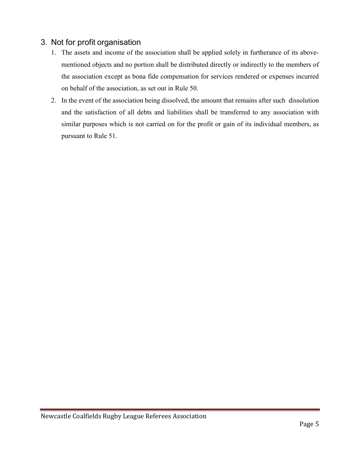# 3. Not for profit organisation

- 1. The assets and income of the association shall be applied solely in furtherance of its abovementioned objects and no portion shall be distributed directly or indirectly to the members of the association except as bona fide compensation for services rendered or expenses incurred on behalf of the association, as set out in Rule 50.
- 2. In the event of the association being dissolved, the amount that remains after such dissolution and the satisfaction of all debts and liabilities shall be transferred to any association with similar purposes which is not carried on for the profit or gain of its individual members, as pursuant to Rule 51.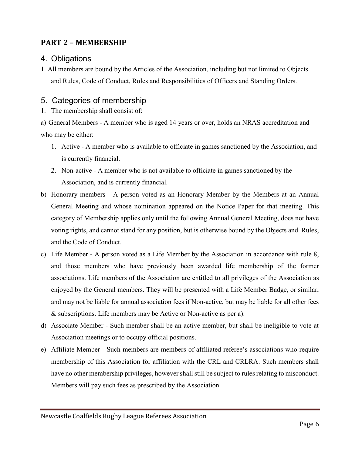# PART 2 – MEMBERSHIP

#### 4. Obligations

1. All members are bound by the Articles of the Association, including but not limited to Objects and Rules, Code of Conduct, Roles and Responsibilities of Officers and Standing Orders.

#### 5. Categories of membership

1. The membership shall consist of:

a) General Members - A member who is aged 14 years or over, holds an NRAS accreditation and who may be either:

- 1. Active A member who is available to officiate in games sanctioned by the Association, and is currently financial.
- 2. Non-active A member who is not available to officiate in games sanctioned by the Association, and is currently financial.
- b) Honorary members A person voted as an Honorary Member by the Members at an Annual General Meeting and whose nomination appeared on the Notice Paper for that meeting. This category of Membership applies only until the following Annual General Meeting, does not have voting rights, and cannot stand for any position, but is otherwise bound by the Objects and Rules, and the Code of Conduct.
- c) Life Member A person voted as a Life Member by the Association in accordance with rule 8, and those members who have previously been awarded life membership of the former associations. Life members of the Association are entitled to all privileges of the Association as enjoyed by the General members. They will be presented with a Life Member Badge, or similar, and may not be liable for annual association fees if Non-active, but may be liable for all other fees & subscriptions. Life members may be Active or Non-active as per a).
- d) Associate Member Such member shall be an active member, but shall be ineligible to vote at Association meetings or to occupy official positions.
- e) Affiliate Member Such members are members of affiliated referee's associations who require membership of this Association for affiliation with the CRL and CRLRA. Such members shall have no other membership privileges, however shall still be subject to rules relating to misconduct. Members will pay such fees as prescribed by the Association.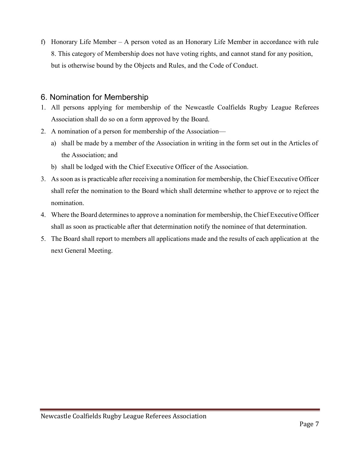f) Honorary Life Member – A person voted as an Honorary Life Member in accordance with rule 8. This category of Membership does not have voting rights, and cannot stand for any position, but is otherwise bound by the Objects and Rules, and the Code of Conduct.

#### 6. Nomination for Membership

- 1. All persons applying for membership of the Newcastle Coalfields Rugby League Referees Association shall do so on a form approved by the Board.
- 2. A nomination of a person for membership of the Association
	- a) shall be made by a member of the Association in writing in the form set out in the Articles of the Association; and
	- b) shall be lodged with the Chief Executive Officer of the Association.
- 3. As soon as is practicable after receiving a nomination for membership, the Chief Executive Officer shall refer the nomination to the Board which shall determine whether to approve or to reject the nomination.
- 4. Where the Board determines to approve a nomination for membership, the Chief Executive Officer shall as soon as practicable after that determination notify the nominee of that determination.
- 5. The Board shall report to members all applications made and the results of each application at the next General Meeting.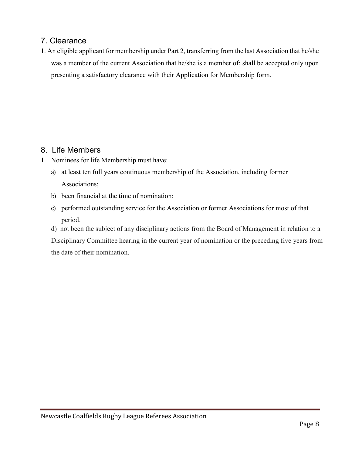# 7. Clearance

1. An eligible applicant for membership under Part 2, transferring from the last Association that he/she was a member of the current Association that he/she is a member of; shall be accepted only upon presenting a satisfactory clearance with their Application for Membership form.

# 8. Life Members

- 1. Nominees for life Membership must have:
	- a) at least ten full years continuous membership of the Association, including former Associations;
	- b) been financial at the time of nomination;
	- c) performed outstanding service for the Association or former Associations for most of that period.
	- d) not been the subject of any disciplinary actions from the Board of Management in relation to a Disciplinary Committee hearing in the current year of nomination or the preceding five years from the date of their nomination.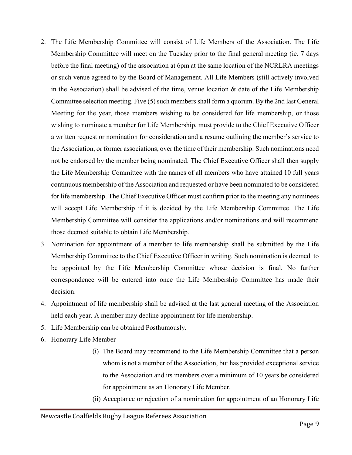- 2. The Life Membership Committee will consist of Life Members of the Association. The Life Membership Committee will meet on the Tuesday prior to the final general meeting (ie. 7 days before the final meeting) of the association at 6pm at the same location of the NCRLRA meetings or such venue agreed to by the Board of Management. All Life Members (still actively involved in the Association) shall be advised of the time, venue location  $\&$  date of the Life Membership Committee selection meeting. Five (5) such members shall form a quorum. By the 2nd last General Meeting for the year, those members wishing to be considered for life membership, or those wishing to nominate a member for Life Membership, must provide to the Chief Executive Officer a written request or nomination for consideration and a resume outlining the member's service to the Association, or former associations, over the time of their membership. Such nominations need not be endorsed by the member being nominated. The Chief Executive Officer shall then supply the Life Membership Committee with the names of all members who have attained 10 full years continuous membership of the Association and requested or have been nominated to be considered for life membership. The Chief Executive Officer must confirm prior to the meeting any nominees will accept Life Membership if it is decided by the Life Membership Committee. The Life Membership Committee will consider the applications and/or nominations and will recommend those deemed suitable to obtain Life Membership.
- 3. Nomination for appointment of a member to life membership shall be submitted by the Life Membership Committee to the Chief Executive Officer in writing. Such nomination is deemed to be appointed by the Life Membership Committee whose decision is final. No further correspondence will be entered into once the Life Membership Committee has made their decision.
- 4. Appointment of life membership shall be advised at the last general meeting of the Association held each year. A member may decline appointment for life membership.
- 5. Life Membership can be obtained Posthumously.
- 6. Honorary Life Member
	- (i) The Board may recommend to the Life Membership Committee that a person whom is not a member of the Association, but has provided exceptional service to the Association and its members over a minimum of 10 years be considered for appointment as an Honorary Life Member.
	- (ii) Acceptance or rejection of a nomination for appointment of an Honorary Life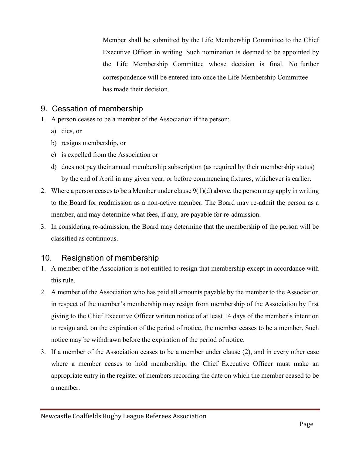Member shall be submitted by the Life Membership Committee to the Chief Executive Officer in writing. Such nomination is deemed to be appointed by the Life Membership Committee whose decision is final. No further correspondence will be entered into once the Life Membership Committee has made their decision.

# 9. Cessation of membership

- 1. A person ceases to be a member of the Association if the person:
	- a) dies, or
	- b) resigns membership, or
	- c) is expelled from the Association or
	- d) does not pay their annual membership subscription (as required by their membership status) by the end of April in any given year, or before commencing fixtures, whichever is earlier.
- 2. Where a person ceases to be a Member under clause  $9(1)(d)$  above, the person may apply in writing to the Board for readmission as a non-active member. The Board may re-admit the person as a member, and may determine what fees, if any, are payable for re-admission.
- 3. In considering re-admission, the Board may determine that the membership of the person will be classified as continuous.

# 10. Resignation of membership

- 1. A member of the Association is not entitled to resign that membership except in accordance with this rule.
- 2. A member of the Association who has paid all amounts payable by the member to the Association in respect of the member's membership may resign from membership of the Association by first giving to the Chief Executive Officer written notice of at least 14 days of the member's intention to resign and, on the expiration of the period of notice, the member ceases to be a member. Such notice may be withdrawn before the expiration of the period of notice.
- 3. If a member of the Association ceases to be a member under clause (2), and in every other case where a member ceases to hold membership, the Chief Executive Officer must make an appropriate entry in the register of members recording the date on which the member ceased to be a member.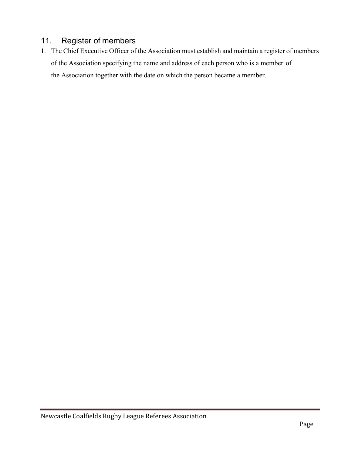# 11. Register of members

1. The Chief Executive Officer of the Association must establish and maintain a register of members of the Association specifying the name and address of each person who is a member of the Association together with the date on which the person became a member.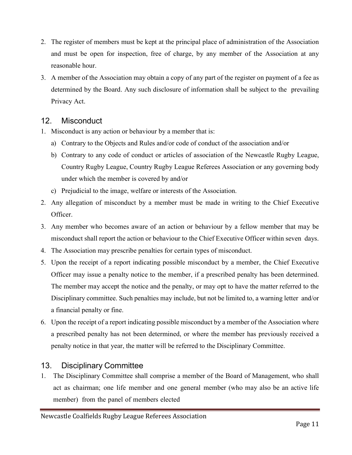- 2. The register of members must be kept at the principal place of administration of the Association and must be open for inspection, free of charge, by any member of the Association at any reasonable hour.
- 3. A member of the Association may obtain a copy of any part of the register on payment of a fee as determined by the Board. Any such disclosure of information shall be subject to the prevailing Privacy Act.

#### 12. Misconduct

- 1. Misconduct is any action or behaviour by a member that is:
	- a) Contrary to the Objects and Rules and/or code of conduct of the association and/or
	- b) Contrary to any code of conduct or articles of association of the Newcastle Rugby League, Country Rugby League, Country Rugby League Referees Association or any governing body under which the member is covered by and/or
	- c) Prejudicial to the image, welfare or interests of the Association.
- 2. Any allegation of misconduct by a member must be made in writing to the Chief Executive Officer.
- 3. Any member who becomes aware of an action or behaviour by a fellow member that may be misconduct shall report the action or behaviour to the Chief Executive Officer within seven days.
- 4. The Association may prescribe penalties for certain types of misconduct.
- 5. Upon the receipt of a report indicating possible misconduct by a member, the Chief Executive Officer may issue a penalty notice to the member, if a prescribed penalty has been determined. The member may accept the notice and the penalty, or may opt to have the matter referred to the Disciplinary committee. Such penalties may include, but not be limited to, a warning letter and/or a financial penalty or fine.
- 6. Upon the receipt of a report indicating possible misconduct by a member of the Association where a prescribed penalty has not been determined, or where the member has previously received a penalty notice in that year, the matter will be referred to the Disciplinary Committee.

#### 13. Disciplinary Committee

1. The Disciplinary Committee shall comprise a member of the Board of Management, who shall act as chairman; one life member and one general member (who may also be an active life member) from the panel of members elected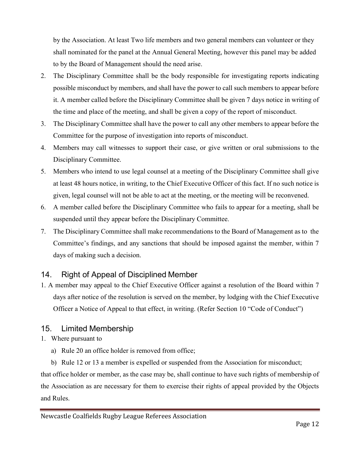by the Association. At least Two life members and two general members can volunteer or they shall nominated for the panel at the Annual General Meeting, however this panel may be added to by the Board of Management should the need arise.

- 2. The Disciplinary Committee shall be the body responsible for investigating reports indicating possible misconduct by members, and shall have the power to call such members to appear before it. A member called before the Disciplinary Committee shall be given 7 days notice in writing of the time and place of the meeting, and shall be given a copy of the report of misconduct.
- 3. The Disciplinary Committee shall have the power to call any other members to appear before the Committee for the purpose of investigation into reports of misconduct.
- 4. Members may call witnesses to support their case, or give written or oral submissions to the Disciplinary Committee.
- 5. Members who intend to use legal counsel at a meeting of the Disciplinary Committee shall give at least 48 hours notice, in writing, to the Chief Executive Officer of this fact. If no such notice is given, legal counsel will not be able to act at the meeting, or the meeting will be reconvened.
- 6. A member called before the Disciplinary Committee who fails to appear for a meeting, shall be suspended until they appear before the Disciplinary Committee.
- 7. The Disciplinary Committee shall make recommendations to the Board of Management as to the Committee's findings, and any sanctions that should be imposed against the member, within 7 days of making such a decision.

#### 14. Right of Appeal of Disciplined Member

1. A member may appeal to the Chief Executive Officer against a resolution of the Board within 7 days after notice of the resolution is served on the member, by lodging with the Chief Executive Officer a Notice of Appeal to that effect, in writing. (Refer Section 10 "Code of Conduct")

#### 15. Limited Membership

- 1. Where pursuant to
	- a) Rule 20 an office holder is removed from office;

b) Rule 12 or 13 a member is expelled or suspended from the Association for misconduct; that office holder or member, as the case may be, shall continue to have such rights of membership of the Association as are necessary for them to exercise their rights of appeal provided by the Objects and Rules.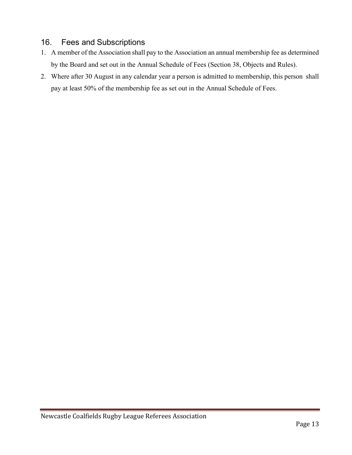# 16. Fees and Subscriptions

- 1. A member of the Association shall pay to the Association an annual membership fee as determined by the Board and set out in the Annual Schedule of Fees (Section 38, Objects and Rules).
- 2. Where after 30 August in any calendar year a person is admitted to membership, this person shall pay at least 50% of the membership fee as set out in the Annual Schedule of Fees.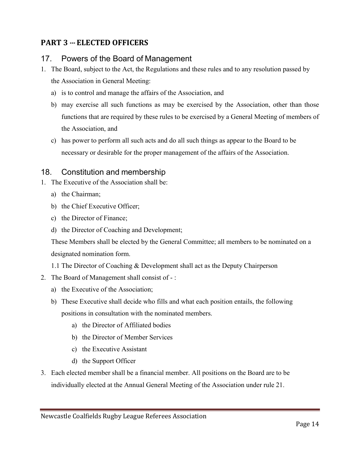# PART 3 --- ELECTED OFFICERS

# 17. Powers of the Board of Management

- 1. The Board, subject to the Act, the Regulations and these rules and to any resolution passed by the Association in General Meeting:
	- a) is to control and manage the affairs of the Association, and
	- b) may exercise all such functions as may be exercised by the Association, other than those functions that are required by these rules to be exercised by a General Meeting of members of the Association, and
	- c) has power to perform all such acts and do all such things as appear to the Board to be necessary or desirable for the proper management of the affairs of the Association.

# 18. Constitution and membership

- 1. The Executive of the Association shall be:
	- a) the Chairman;
	- b) the Chief Executive Officer;
	- c) the Director of Finance;
	- d) the Director of Coaching and Development;

These Members shall be elected by the General Committee; all members to be nominated on a designated nomination form.

- 1.1 The Director of Coaching & Development shall act as the Deputy Chairperson
- 2. The Board of Management shall consist of :
	- a) the Executive of the Association;
	- b) These Executive shall decide who fills and what each position entails, the following positions in consultation with the nominated members.
		- a) the Director of Affiliated bodies
		- b) the Director of Member Services
		- c) the Executive Assistant
		- d) the Support Officer
- 3. Each elected member shall be a financial member. All positions on the Board are to be individually elected at the Annual General Meeting of the Association under rule 21.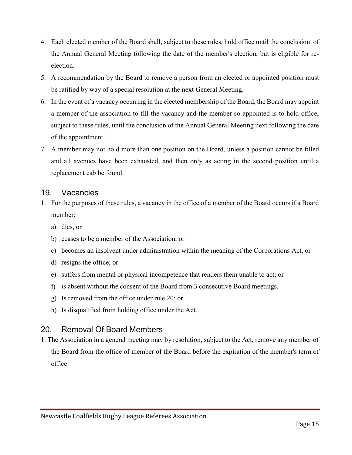- 4. Each elected member of the Board shall, subject to these rules, hold office until the conclusion of the Annual General Meeting following the date of the member's election, but is eligible for reelection.
- 5. A recommendation by the Board to remove a person from an elected or appointed position must be ratified by way of a special resolution at the next General Meeting.
- 6. In the event of a vacancy occurring in the elected membership of the Board, the Board may appoint a member of the association to fill the vacancy and the member so appointed is to hold office, subject to these rules, until the conclusion of the Annual General Meeting next following the date of the appointment.
- 7. A member may not hold more than one position on the Board, unless a position cannot be filled and all avenues have been exhausted, and then only as acting in the second position until a replacement cab be found.

#### 19. Vacancies

- 1. For the purposes of these rules, a vacancy in the office of a member of the Board occurs if a Board member:
	- a) dies, or
	- b) ceases to be a member of the Association, or
	- c) becomes an insolvent under administration within the meaning of the Corporations Act, or
	- d) resigns the office; or
	- e) suffers from mental or physical incompetence that renders them unable to act; or
	- f) is absent without the consent of the Board from 3 consecutive Board meetings.
	- g) Is removed from the office under rule 20; or
	- h) Is disqualified from holding office under the Act.

#### 20. Removal Of Board Members

1. The Association in a general meeting may by resolution, subject to the Act, remove any member of the Board from the office of member of the Board before the expiration of the member's term of office.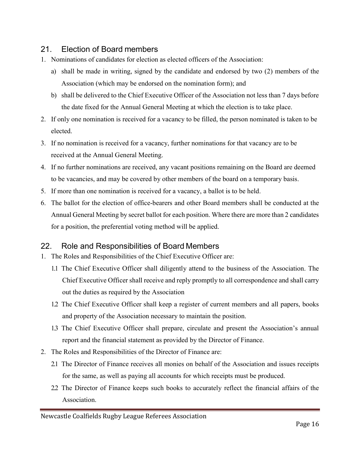# 21. Election of Board members

- 1. Nominations of candidates for election as elected officers of the Association:
	- a) shall be made in writing, signed by the candidate and endorsed by two (2) members of the Association (which may be endorsed on the nomination form); and
	- b) shall be delivered to the Chief Executive Officer of the Association not less than 7 days before the date fixed for the Annual General Meeting at which the election is to take place.
- 2. If only one nomination is received for a vacancy to be filled, the person nominated is taken to be elected.
- 3. If no nomination is received for a vacancy, further nominations for that vacancy are to be received at the Annual General Meeting.
- 4. If no further nominations are received, any vacant positions remaining on the Board are deemed to be vacancies, and may be covered by other members of the board on a temporary basis.
- 5. If more than one nomination is received for a vacancy, a ballot is to be held.
- 6. The ballot for the election of office-bearers and other Board members shall be conducted at the Annual General Meeting by secret ballot for each position. Where there are more than 2 candidates for a position, the preferential voting method will be applied.

#### 22. Role and Responsibilities of Board Members

- 1. The Roles and Responsibilities of the Chief Executive Officer are:
	- 1.1 The Chief Executive Officer shall diligently attend to the business of the Association. The Chief Executive Officer shall receive and reply promptly to all correspondence and shall carry out the duties as required by the Association
	- 1.2 The Chief Executive Officer shall keep a register of current members and all papers, books and property of the Association necessary to maintain the position.
	- 1.3 The Chief Executive Officer shall prepare, circulate and present the Association's annual report and the financial statement as provided by the Director of Finance.
- 2. The Roles and Responsibilities of the Director of Finance are:
	- 2.1 The Director of Finance receives all monies on behalf of the Association and issues receipts for the same, as well as paying all accounts for which receipts must be produced.
	- 2.2 The Director of Finance keeps such books to accurately reflect the financial affairs of the Association.

Newcastle Coalfields Rugby League Referees Association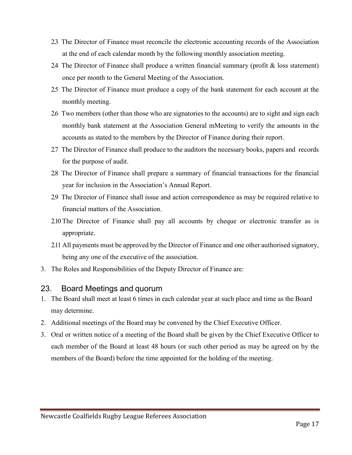- 2.3 The Director of Finance must reconcile the electronic accounting records of the Association at the end of each calendar month by the following monthly association meeting.
- 2.4 The Director of Finance shall produce a written financial summary (profit & loss statement) once per month to the General Meeting of the Association.
- 2.5 The Director of Finance must produce a copy of the bank statement for each account at the monthly meeting.
- 2.6 Two members (other than those who are signatories to the accounts) are to sight and sign each monthly bank statement at the Association General mMeeting to verify the amounts in the accounts as stated to the members by the Director of Finance during their report.
- 2.7 The Director of Finance shall produce to the auditors the necessary books, papers and records for the purpose of audit.
- 2.8 The Director of Finance shall prepare a summary of financial transactions for the financial year for inclusion in the Association's Annual Report.
- 2.9 The Director of Finance shall issue and action correspondence as may be required relative to financial matters of the Association.
- 2.10 The Director of Finance shall pay all accounts by cheque or electronic transfer as is appropriate.
- 2.11 All payments must be approved by the Director of Finance and one other authorised signatory, being any one of the executive of the association.
- 3. The Roles and Responsibilities of the Deputy Director of Finance are:

#### 23. Board Meetings and quorum

- 1. The Board shall meet at least 6 times in each calendar year at such place and time as the Board may determine.
- 2. Additional meetings of the Board may be convened by the Chief Executive Officer.
- 3. Oral or written notice of a meeting of the Board shall be given by the Chief Executive Officer to each member of the Board at least 48 hours (or such other period as may be agreed on by the members of the Board) before the time appointed for the holding of the meeting.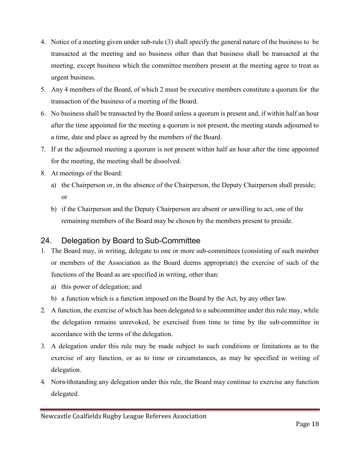- 4. Notice of a meeting given under sub-rule (3) shall specify the general nature of the business to be transacted at the meeting and no business other than that business shall be transacted at the meeting, except business which the committee members present at the meeting agree to treat as urgent business.
- 5. Any 4 members of the Board, of which 2 must be executive members constitute a quorum for the transaction of the business of a meeting of the Board.
- 6. No business shall be transacted by the Board unless a quorum is present and, if within half an hour after the time appointed for the meeting a quorum is not present, the meeting stands adjourned to a time, date and place as agreed by the members of the Board.
- 7. If at the adjourned meeting a quorum is not present within half an hour after the time appointed for the meeting, the meeting shall be dissolved.
- 8. At meetings of the Board:
	- a) the Chairperson or, in the absence of the Chairperson, the Deputy Chairperson shall preside; or
	- b) if the Chairperson and the Deputy Chairperson are absent or unwilling to act, one of the remaining members of the Board may be chosen by the members present to preside.

# 24. Delegation by Board to Sub-Committee

- 1. The Board may, in writing, delegate to one or more sub-committees (consisting of such member or members of the Association as the Board deems appropriate) the exercise of such of the functions of the Board as are specified in writing, other than:
	- a) this power of delegation; and
	- b) a function which is a function imposed on the Board by the Act, by any other law.
- 2. A function, the exercise of which has been delegated to a subcommittee under this rule may, while the delegation remains unrevoked, be exercised from time to time by the sub-committee in accordance with the terms of the delegation.
- 3. A delegation under this rule may be made subject to such conditions or limitations as to the exercise of any function, or as to time or circumstances, as may be specified in writing of delegation.
- 4. Notwithstanding any delegation under this rule, the Board may continue to exercise any function delegated.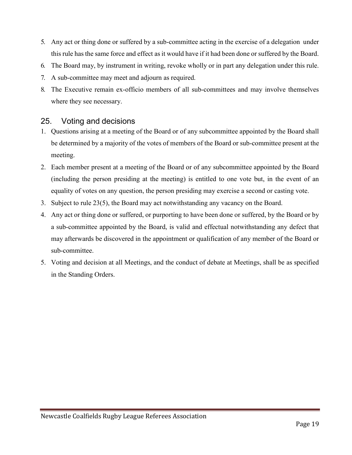- 5. Any act or thing done or suffered by a sub-committee acting in the exercise of a delegation under this rule has the same force and effect as it would have if it had been done or suffered by the Board.
- 6. The Board may, by instrument in writing, revoke wholly or in part any delegation under this rule.
- 7. A sub-committee may meet and adjourn as required.
- 8. The Executive remain ex-officio members of all sub-committees and may involve themselves where they see necessary.

#### 25. Voting and decisions

- 1. Questions arising at a meeting of the Board or of any subcommittee appointed by the Board shall be determined by a majority of the votes of members of the Board or sub-committee present at the meeting.
- 2. Each member present at a meeting of the Board or of any subcommittee appointed by the Board (including the person presiding at the meeting) is entitled to one vote but, in the event of an equality of votes on any question, the person presiding may exercise a second or casting vote.
- 3. Subject to rule 23(5), the Board may act notwithstanding any vacancy on the Board.
- 4. Any act or thing done or suffered, or purporting to have been done or suffered, by the Board or by a sub-committee appointed by the Board, is valid and effectual notwithstanding any defect that may afterwards be discovered in the appointment or qualification of any member of the Board or sub-committee.
- 5. Voting and decision at all Meetings, and the conduct of debate at Meetings, shall be as specified in the Standing Orders.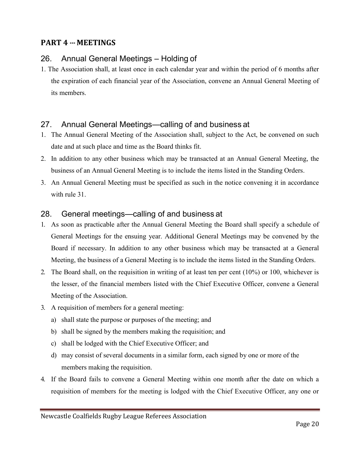# PART 4 --- MEETINGS

# 26. Annual General Meetings – Holding of

1. The Association shall, at least once in each calendar year and within the period of 6 months after the expiration of each financial year of the Association, convene an Annual General Meeting of its members.

# 27. Annual General Meetings—calling of and business at

- 1. The Annual General Meeting of the Association shall, subject to the Act, be convened on such date and at such place and time as the Board thinks fit.
- 2. In addition to any other business which may be transacted at an Annual General Meeting, the business of an Annual General Meeting is to include the items listed in the Standing Orders.
- 3. An Annual General Meeting must be specified as such in the notice convening it in accordance with rule 31.

# 28. General meetings—calling of and business at

- 1. As soon as practicable after the Annual General Meeting the Board shall specify a schedule of General Meetings for the ensuing year. Additional General Meetings may be convened by the Board if necessary. In addition to any other business which may be transacted at a General Meeting, the business of a General Meeting is to include the items listed in the Standing Orders.
- 2. The Board shall, on the requisition in writing of at least ten per cent (10%) or 100, whichever is the lesser, of the financial members listed with the Chief Executive Officer, convene a General Meeting of the Association.
- 3. A requisition of members for a general meeting:
	- a) shall state the purpose or purposes of the meeting; and
	- b) shall be signed by the members making the requisition; and
	- c) shall be lodged with the Chief Executive Officer; and
	- d) may consist of several documents in a similar form, each signed by one or more of the members making the requisition.
- 4. If the Board fails to convene a General Meeting within one month after the date on which a requisition of members for the meeting is lodged with the Chief Executive Officer, any one or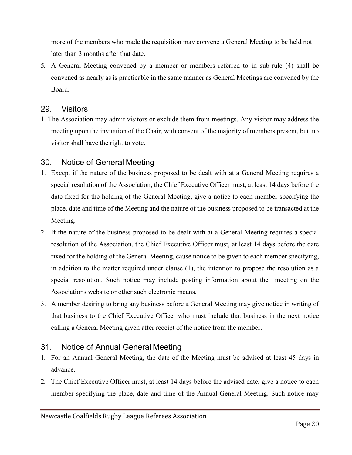more of the members who made the requisition may convene a General Meeting to be held not later than 3 months after that date.

5. A General Meeting convened by a member or members referred to in sub-rule (4) shall be convened as nearly as is practicable in the same manner as General Meetings are convened by the Board.

#### 29. Visitors

1. The Association may admit visitors or exclude them from meetings. Any visitor may address the meeting upon the invitation of the Chair, with consent of the majority of members present, but no visitor shall have the right to vote.

#### 30. Notice of General Meeting

- 1. Except if the nature of the business proposed to be dealt with at a General Meeting requires a special resolution of the Association, the Chief Executive Officer must, at least 14 days before the date fixed for the holding of the General Meeting, give a notice to each member specifying the place, date and time of the Meeting and the nature of the business proposed to be transacted at the Meeting.
- 2. If the nature of the business proposed to be dealt with at a General Meeting requires a special resolution of the Association, the Chief Executive Officer must, at least 14 days before the date fixed for the holding of the General Meeting, cause notice to be given to each member specifying, in addition to the matter required under clause (1), the intention to propose the resolution as a special resolution. Such notice may include posting information about the meeting on the Associations website or other such electronic means.
- 3. A member desiring to bring any business before a General Meeting may give notice in writing of that business to the Chief Executive Officer who must include that business in the next notice calling a General Meeting given after receipt of the notice from the member.

# 31. Notice of Annual General Meeting

- 1. For an Annual General Meeting, the date of the Meeting must be advised at least 45 days in advance.
- 2. The Chief Executive Officer must, at least 14 days before the advised date, give a notice to each member specifying the place, date and time of the Annual General Meeting. Such notice may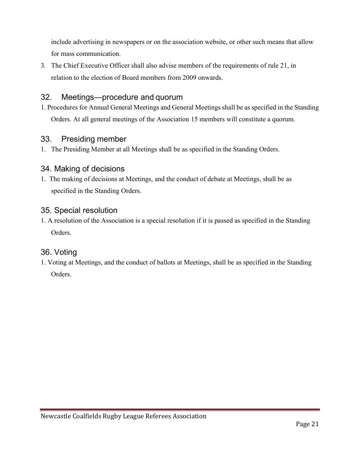include advertising in newspapers or on the association website, or other such means that allow for mass communication.

3. The Chief Executive Officer shall also advise members of the requirements of rule 21, in relation to the election of Board members from 2009 onwards.

# 32. Meetings—procedure and quorum

1. Procedures for Annual General Meetings and General Meetings shall be as specified in the Standing Orders. At all general meetings of the Association 15 members will constitute a quorum.

#### 33. Presiding member

1. The Presiding Member at all Meetings shall be as specified in the Standing Orders.

# 34. Making of decisions

1. The making of decisions at Meetings, and the conduct of debate at Meetings, shall be as specified in the Standing Orders.

#### 35. Special resolution

1. A resolution of the Association is a special resolution if it is passed as specified in the Standing Orders.

#### 36. Voting

1. Voting at Meetings, and the conduct of ballots at Meetings, shall be as specified in the Standing Orders.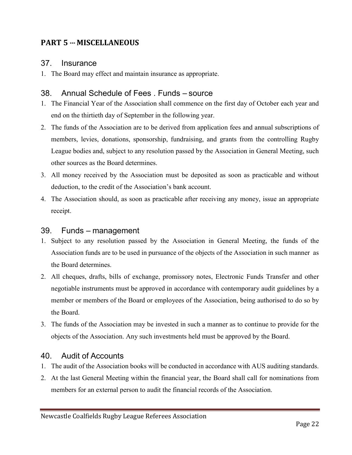# PART 5 --- MISCELLANEOUS

#### 37. Insurance

1. The Board may effect and maintain insurance as appropriate.

#### 38. Annual Schedule of Fees . Funds – source

- 1. The Financial Year of the Association shall commence on the first day of October each year and end on the thirtieth day of September in the following year.
- 2. The funds of the Association are to be derived from application fees and annual subscriptions of members, levies, donations, sponsorship, fundraising, and grants from the controlling Rugby League bodies and, subject to any resolution passed by the Association in General Meeting, such other sources as the Board determines.
- 3. All money received by the Association must be deposited as soon as practicable and without deduction, to the credit of the Association's bank account.
- 4. The Association should, as soon as practicable after receiving any money, issue an appropriate receipt.

#### 39. Funds – management

- 1. Subject to any resolution passed by the Association in General Meeting, the funds of the Association funds are to be used in pursuance of the objects of the Association in such manner as the Board determines.
- 2. All cheques, drafts, bills of exchange, promissory notes, Electronic Funds Transfer and other negotiable instruments must be approved in accordance with contemporary audit guidelines by a member or members of the Board or employees of the Association, being authorised to do so by the Board.
- 3. The funds of the Association may be invested in such a manner as to continue to provide for the objects of the Association. Any such investments held must be approved by the Board.

#### 40. Audit of Accounts

- 1. The audit of the Association books will be conducted in accordance with AUS auditing standards.
- 2. At the last General Meeting within the financial year, the Board shall call for nominations from members for an external person to audit the financial records of the Association.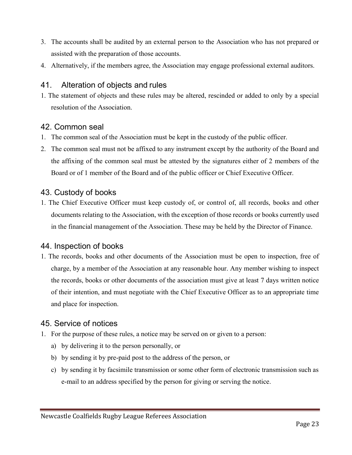- 3. The accounts shall be audited by an external person to the Association who has not prepared or assisted with the preparation of those accounts.
- 4. Alternatively, if the members agree, the Association may engage professional external auditors.

#### 41. Alteration of objects and rules

1. The statement of objects and these rules may be altered, rescinded or added to only by a special resolution of the Association.

#### 42. Common seal

- 1. The common seal of the Association must be kept in the custody of the public officer.
- 2. The common seal must not be affixed to any instrument except by the authority of the Board and the affixing of the common seal must be attested by the signatures either of 2 members of the Board or of 1 member of the Board and of the public officer or Chief Executive Officer.

# 43. Custody of books

1. The Chief Executive Officer must keep custody of, or control of, all records, books and other documents relating to the Association, with the exception of those records or books currently used in the financial management of the Association. These may be held by the Director of Finance.

#### 44. Inspection of books

1. The records, books and other documents of the Association must be open to inspection, free of charge, by a member of the Association at any reasonable hour. Any member wishing to inspect the records, books or other documents of the association must give at least 7 days written notice of their intention, and must negotiate with the Chief Executive Officer as to an appropriate time and place for inspection.

#### 45. Service of notices

- 1. For the purpose of these rules, a notice may be served on or given to a person:
	- a) by delivering it to the person personally, or
	- b) by sending it by pre-paid post to the address of the person, or
	- c) by sending it by facsimile transmission or some other form of electronic transmission such as e-mail to an address specified by the person for giving or serving the notice.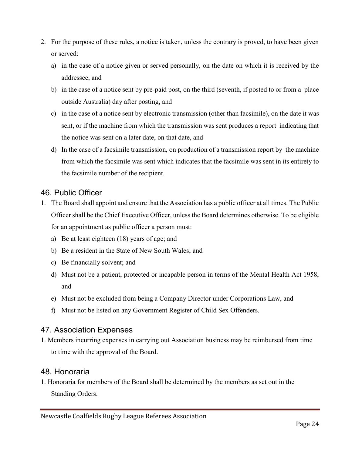- 2. For the purpose of these rules, a notice is taken, unless the contrary is proved, to have been given or served:
	- a) in the case of a notice given or served personally, on the date on which it is received by the addressee, and
	- b) in the case of a notice sent by pre-paid post, on the third (seventh, if posted to or from a place outside Australia) day after posting, and
	- c) in the case of a notice sent by electronic transmission (other than facsimile), on the date it was sent, or if the machine from which the transmission was sent produces a report indicating that the notice was sent on a later date, on that date, and
	- d) In the case of a facsimile transmission, on production of a transmission report by the machine from which the facsimile was sent which indicates that the facsimile was sent in its entirety to the facsimile number of the recipient.

# 46. Public Officer

- 1. The Board shall appoint and ensure that the Association has a public officer at all times. The Public Officer shall be the Chief Executive Officer, unless the Board determines otherwise. To be eligible for an appointment as public officer a person must:
	- a) Be at least eighteen (18) years of age; and
	- b) Be a resident in the State of New South Wales; and
	- c) Be financially solvent; and
	- d) Must not be a patient, protected or incapable person in terms of the Mental Health Act 1958, and
	- e) Must not be excluded from being a Company Director under Corporations Law, and
	- f) Must not be listed on any Government Register of Child Sex Offenders.

# 47. Association Expenses

1. Members incurring expenses in carrying out Association business may be reimbursed from time to time with the approval of the Board.

# 48. Honoraria

1. Honoraria for members of the Board shall be determined by the members as set out in the Standing Orders.